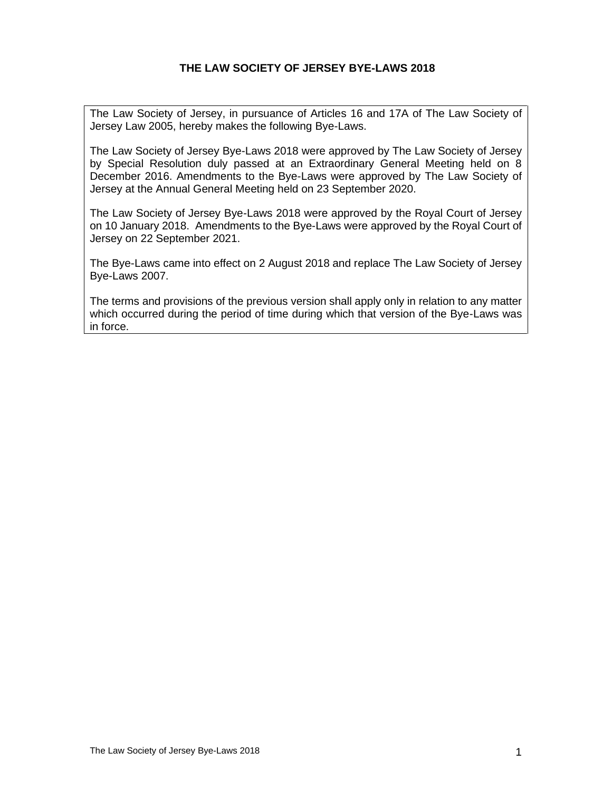## **THE LAW SOCIETY OF JERSEY BYE-LAWS 2018**

The Law Society of Jersey, in pursuance of Articles 16 and 17A of The Law Society of Jersey Law 2005, hereby makes the following Bye-Laws.

The Law Society of Jersey Bye-Laws 2018 were approved by The Law Society of Jersey by Special Resolution duly passed at an Extraordinary General Meeting held on 8 December 2016. Amendments to the Bye-Laws were approved by The Law Society of Jersey at the Annual General Meeting held on 23 September 2020.

The Law Society of Jersey Bye-Laws 2018 were approved by the Royal Court of Jersey on 10 January 2018. Amendments to the Bye-Laws were approved by the Royal Court of Jersey on 22 September 2021.

The Bye-Laws came into effect on 2 August 2018 and replace The Law Society of Jersey Bye-Laws 2007.

The terms and provisions of the previous version shall apply only in relation to any matter which occurred during the period of time during which that version of the Bye-Laws was in force.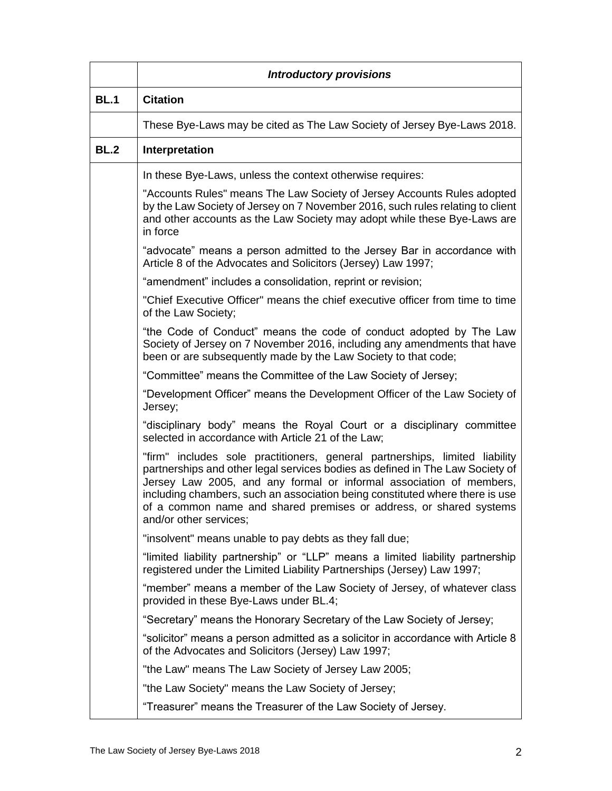|             | <b>Introductory provisions</b>                                                                                                                                                                                                                                                                                                                                                                                      |
|-------------|---------------------------------------------------------------------------------------------------------------------------------------------------------------------------------------------------------------------------------------------------------------------------------------------------------------------------------------------------------------------------------------------------------------------|
| <b>BL.1</b> | <b>Citation</b>                                                                                                                                                                                                                                                                                                                                                                                                     |
|             | These Bye-Laws may be cited as The Law Society of Jersey Bye-Laws 2018.                                                                                                                                                                                                                                                                                                                                             |
| <b>BL.2</b> | Interpretation                                                                                                                                                                                                                                                                                                                                                                                                      |
|             | In these Bye-Laws, unless the context otherwise requires:                                                                                                                                                                                                                                                                                                                                                           |
|             | "Accounts Rules" means The Law Society of Jersey Accounts Rules adopted<br>by the Law Society of Jersey on 7 November 2016, such rules relating to client<br>and other accounts as the Law Society may adopt while these Bye-Laws are<br>in force                                                                                                                                                                   |
|             | "advocate" means a person admitted to the Jersey Bar in accordance with<br>Article 8 of the Advocates and Solicitors (Jersey) Law 1997;                                                                                                                                                                                                                                                                             |
|             | "amendment" includes a consolidation, reprint or revision;                                                                                                                                                                                                                                                                                                                                                          |
|             | "Chief Executive Officer" means the chief executive officer from time to time<br>of the Law Society;                                                                                                                                                                                                                                                                                                                |
|             | "the Code of Conduct" means the code of conduct adopted by The Law<br>Society of Jersey on 7 November 2016, including any amendments that have<br>been or are subsequently made by the Law Society to that code;                                                                                                                                                                                                    |
|             | "Committee" means the Committee of the Law Society of Jersey;                                                                                                                                                                                                                                                                                                                                                       |
|             | "Development Officer" means the Development Officer of the Law Society of<br>Jersey;                                                                                                                                                                                                                                                                                                                                |
|             | "disciplinary body" means the Royal Court or a disciplinary committee<br>selected in accordance with Article 21 of the Law;                                                                                                                                                                                                                                                                                         |
|             | "firm" includes sole practitioners, general partnerships, limited liability<br>partnerships and other legal services bodies as defined in The Law Society of<br>Jersey Law 2005, and any formal or informal association of members,<br>including chambers, such an association being constituted where there is use<br>of a common name and shared premises or address, or shared systems<br>and/or other services; |
|             | "insolvent" means unable to pay debts as they fall due;                                                                                                                                                                                                                                                                                                                                                             |
|             | "limited liability partnership" or "LLP" means a limited liability partnership<br>registered under the Limited Liability Partnerships (Jersey) Law 1997;                                                                                                                                                                                                                                                            |
|             | "member" means a member of the Law Society of Jersey, of whatever class<br>provided in these Bye-Laws under BL.4;                                                                                                                                                                                                                                                                                                   |
|             | "Secretary" means the Honorary Secretary of the Law Society of Jersey;                                                                                                                                                                                                                                                                                                                                              |
|             | "solicitor" means a person admitted as a solicitor in accordance with Article 8<br>of the Advocates and Solicitors (Jersey) Law 1997;                                                                                                                                                                                                                                                                               |
|             | "the Law" means The Law Society of Jersey Law 2005;                                                                                                                                                                                                                                                                                                                                                                 |
|             | "the Law Society" means the Law Society of Jersey;                                                                                                                                                                                                                                                                                                                                                                  |
|             | "Treasurer" means the Treasurer of the Law Society of Jersey.                                                                                                                                                                                                                                                                                                                                                       |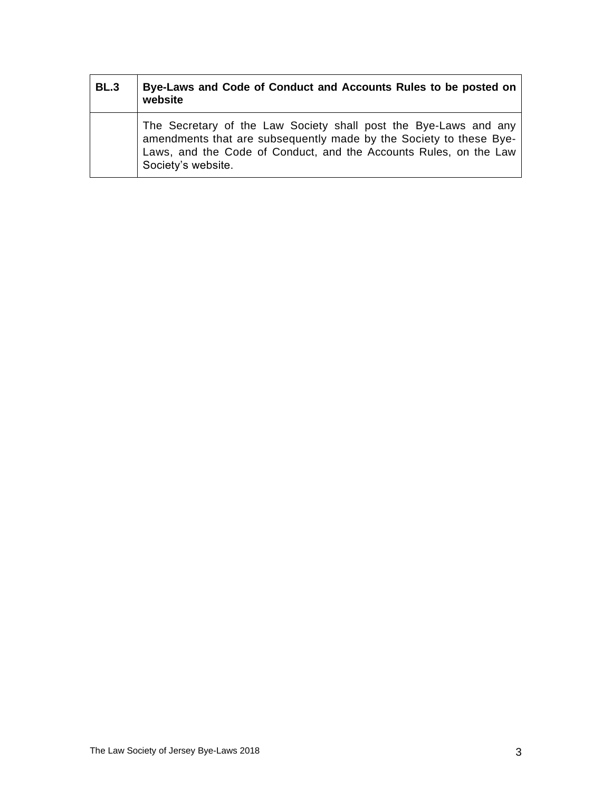| <b>BL.3</b> | Bye-Laws and Code of Conduct and Accounts Rules to be posted on<br>website                                                                                                                                                        |
|-------------|-----------------------------------------------------------------------------------------------------------------------------------------------------------------------------------------------------------------------------------|
|             | The Secretary of the Law Society shall post the Bye-Laws and any<br>amendments that are subsequently made by the Society to these Bye-<br>Laws, and the Code of Conduct, and the Accounts Rules, on the Law<br>Society's website. |

 $\blacksquare$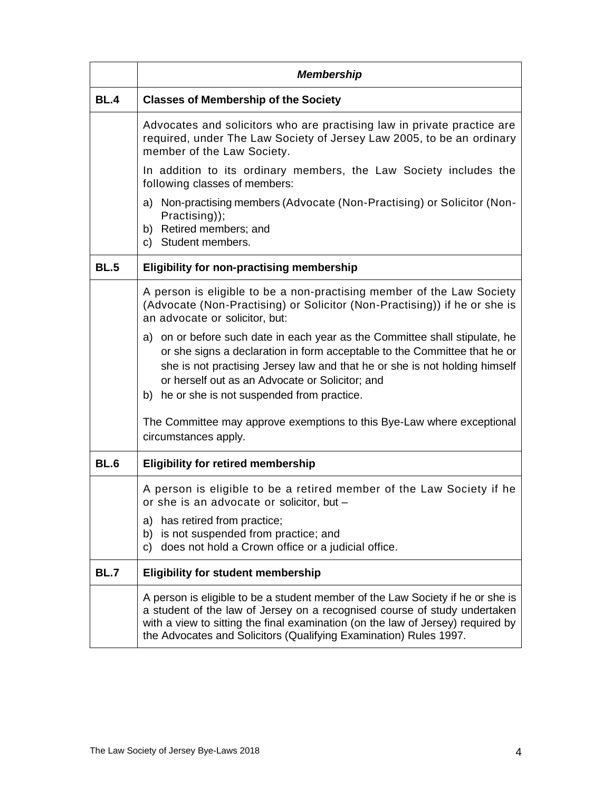|             | <b>Membership</b>                                                                                                                                                                                                                                                                                                                         |  |
|-------------|-------------------------------------------------------------------------------------------------------------------------------------------------------------------------------------------------------------------------------------------------------------------------------------------------------------------------------------------|--|
| <b>BL.4</b> | <b>Classes of Membership of the Society</b>                                                                                                                                                                                                                                                                                               |  |
|             | Advocates and solicitors who are practising law in private practice are<br>required, under The Law Society of Jersey Law 2005, to be an ordinary<br>member of the Law Society.                                                                                                                                                            |  |
|             | In addition to its ordinary members, the Law Society includes the<br>following classes of members:                                                                                                                                                                                                                                        |  |
|             | a) Non-practising members (Advocate (Non-Practising) or Solicitor (Non-<br>Practising));<br>b) Retired members; and<br>c) Student members.                                                                                                                                                                                                |  |
| <b>BL.5</b> | <b>Eligibility for non-practising membership</b>                                                                                                                                                                                                                                                                                          |  |
|             | A person is eligible to be a non-practising member of the Law Society<br>(Advocate (Non-Practising) or Solicitor (Non-Practising)) if he or she is<br>an advocate or solicitor, but:                                                                                                                                                      |  |
|             | a) on or before such date in each year as the Committee shall stipulate, he<br>or she signs a declaration in form acceptable to the Committee that he or<br>she is not practising Jersey law and that he or she is not holding himself<br>or herself out as an Advocate or Solicitor; and<br>b) he or she is not suspended from practice. |  |
|             | The Committee may approve exemptions to this Bye-Law where exceptional<br>circumstances apply.                                                                                                                                                                                                                                            |  |
| <b>BL.6</b> | <b>Eligibility for retired membership</b>                                                                                                                                                                                                                                                                                                 |  |
|             | A person is eligible to be a retired member of the Law Society if he<br>or she is an advocate or solicitor, but -<br>a) has retired from practice;<br>b) is not suspended from practice; and<br>does not hold a Crown office or a judicial office.<br>C)                                                                                  |  |
| <b>BL.7</b> | <b>Eligibility for student membership</b>                                                                                                                                                                                                                                                                                                 |  |
|             | A person is eligible to be a student member of the Law Society if he or she is<br>a student of the law of Jersey on a recognised course of study undertaken<br>with a view to sitting the final examination (on the law of Jersey) required by<br>the Advocates and Solicitors (Qualifying Examination) Rules 1997.                       |  |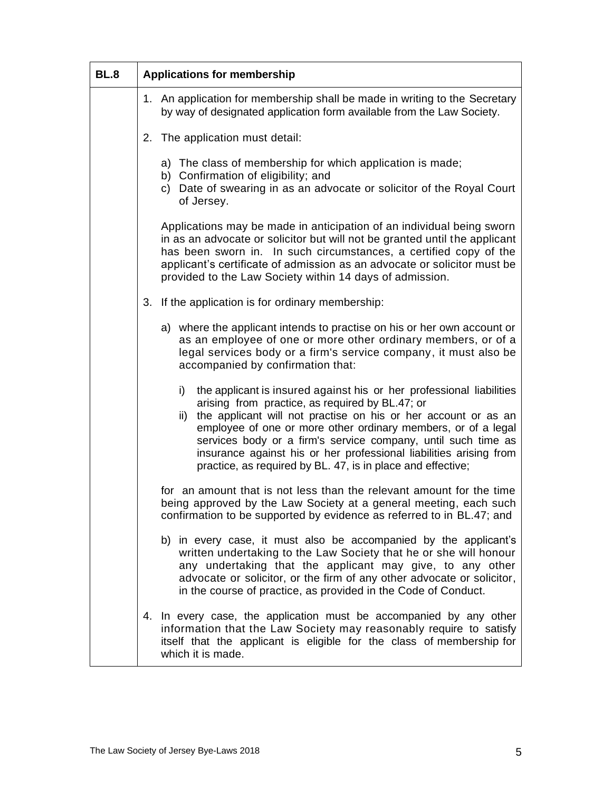| <b>BL.8</b> | <b>Applications for membership</b>                                                                                                                                                                                                                                                                                                                                                                                                                                            |
|-------------|-------------------------------------------------------------------------------------------------------------------------------------------------------------------------------------------------------------------------------------------------------------------------------------------------------------------------------------------------------------------------------------------------------------------------------------------------------------------------------|
|             | 1. An application for membership shall be made in writing to the Secretary<br>by way of designated application form available from the Law Society.                                                                                                                                                                                                                                                                                                                           |
|             | 2. The application must detail:                                                                                                                                                                                                                                                                                                                                                                                                                                               |
|             | a) The class of membership for which application is made;<br>b) Confirmation of eligibility; and<br>c) Date of swearing in as an advocate or solicitor of the Royal Court<br>of Jersey.                                                                                                                                                                                                                                                                                       |
|             | Applications may be made in anticipation of an individual being sworn<br>in as an advocate or solicitor but will not be granted until the applicant<br>has been sworn in. In such circumstances, a certified copy of the<br>applicant's certificate of admission as an advocate or solicitor must be<br>provided to the Law Society within 14 days of admission.                                                                                                              |
|             | 3. If the application is for ordinary membership:                                                                                                                                                                                                                                                                                                                                                                                                                             |
|             | a) where the applicant intends to practise on his or her own account or<br>as an employee of one or more other ordinary members, or of a<br>legal services body or a firm's service company, it must also be<br>accompanied by confirmation that:                                                                                                                                                                                                                             |
|             | the applicant is insured against his or her professional liabilities<br>i)<br>arising from practice, as required by BL.47; or<br>the applicant will not practise on his or her account or as an<br>ii)<br>employee of one or more other ordinary members, or of a legal<br>services body or a firm's service company, until such time as<br>insurance against his or her professional liabilities arising from<br>practice, as required by BL. 47, is in place and effective; |
|             | for an amount that is not less than the relevant amount for the time<br>being approved by the Law Society at a general meeting, each such<br>confirmation to be supported by evidence as referred to in BL.47; and                                                                                                                                                                                                                                                            |
|             | b) in every case, it must also be accompanied by the applicant's<br>written undertaking to the Law Society that he or she will honour<br>any undertaking that the applicant may give, to any other<br>advocate or solicitor, or the firm of any other advocate or solicitor,<br>in the course of practice, as provided in the Code of Conduct.                                                                                                                                |
|             | 4. In every case, the application must be accompanied by any other<br>information that the Law Society may reasonably require to satisfy<br>itself that the applicant is eligible for the class of membership for<br>which it is made.                                                                                                                                                                                                                                        |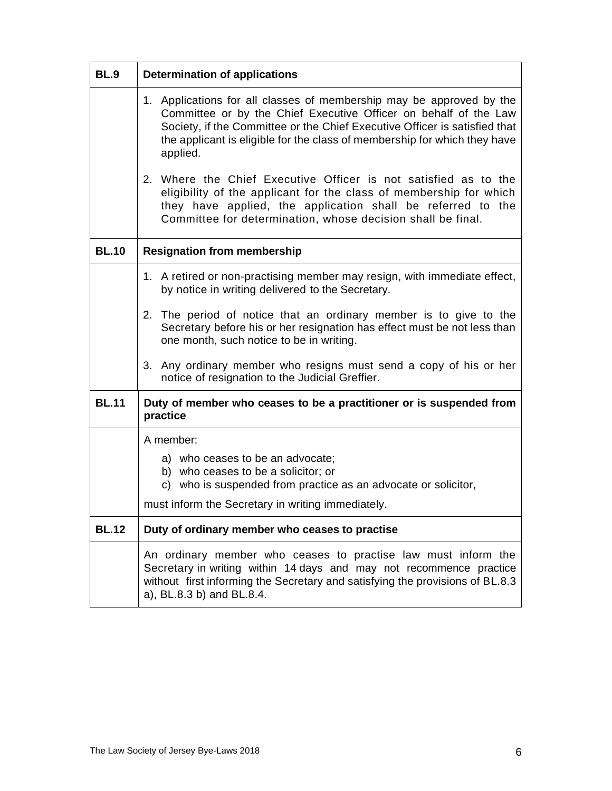| <b>BL.9</b>  | <b>Determination of applications</b>                                                                                                                                                                                                                                                                            |  |
|--------------|-----------------------------------------------------------------------------------------------------------------------------------------------------------------------------------------------------------------------------------------------------------------------------------------------------------------|--|
|              | 1. Applications for all classes of membership may be approved by the<br>Committee or by the Chief Executive Officer on behalf of the Law<br>Society, if the Committee or the Chief Executive Officer is satisfied that<br>the applicant is eligible for the class of membership for which they have<br>applied. |  |
|              | 2. Where the Chief Executive Officer is not satisfied as to the<br>eligibility of the applicant for the class of membership for which<br>they have applied, the application shall be referred to the<br>Committee for determination, whose decision shall be final.                                             |  |
| <b>BL.10</b> | <b>Resignation from membership</b>                                                                                                                                                                                                                                                                              |  |
|              | 1. A retired or non-practising member may resign, with immediate effect,<br>by notice in writing delivered to the Secretary.                                                                                                                                                                                    |  |
|              | 2. The period of notice that an ordinary member is to give to the<br>Secretary before his or her resignation has effect must be not less than<br>one month, such notice to be in writing.                                                                                                                       |  |
|              | Any ordinary member who resigns must send a copy of his or her<br>3.<br>notice of resignation to the Judicial Greffier.                                                                                                                                                                                         |  |
| <b>BL.11</b> | Duty of member who ceases to be a practitioner or is suspended from<br>practice                                                                                                                                                                                                                                 |  |
|              | A member:                                                                                                                                                                                                                                                                                                       |  |
|              | a) who ceases to be an advocate;<br>b) who ceases to be a solicitor; or<br>c) who is suspended from practice as an advocate or solicitor,                                                                                                                                                                       |  |
|              | must inform the Secretary in writing immediately.                                                                                                                                                                                                                                                               |  |
| <b>BL.12</b> | Duty of ordinary member who ceases to practise                                                                                                                                                                                                                                                                  |  |
|              | An ordinary member who ceases to practise law must inform the<br>Secretary in writing within 14 days and may not recommence practice<br>without first informing the Secretary and satisfying the provisions of BL.8.3<br>a), BL.8.3 b) and BL.8.4.                                                              |  |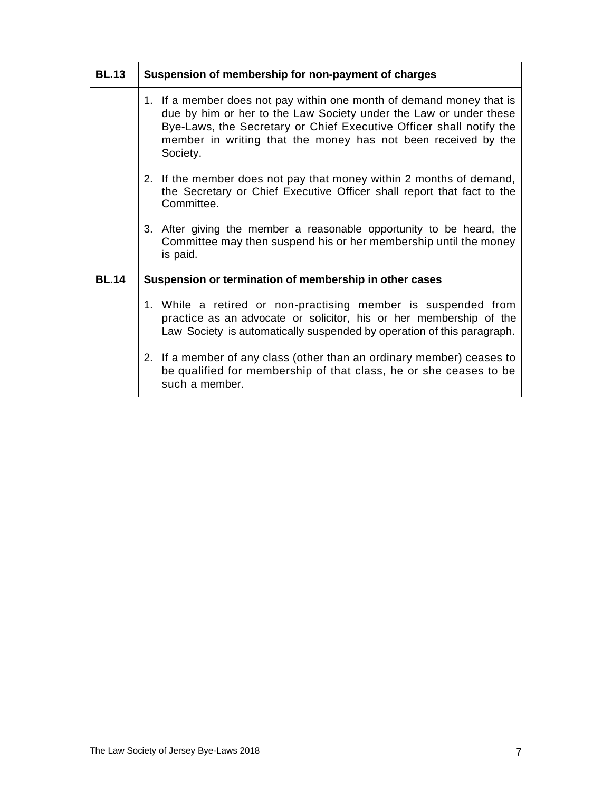| <b>BL.13</b> | Suspension of membership for non-payment of charges                                                                                                                                                                                                                                           |
|--------------|-----------------------------------------------------------------------------------------------------------------------------------------------------------------------------------------------------------------------------------------------------------------------------------------------|
|              | 1. If a member does not pay within one month of demand money that is<br>due by him or her to the Law Society under the Law or under these<br>Bye-Laws, the Secretary or Chief Executive Officer shall notify the<br>member in writing that the money has not been received by the<br>Society. |
|              | 2. If the member does not pay that money within 2 months of demand,<br>the Secretary or Chief Executive Officer shall report that fact to the<br>Committee.                                                                                                                                   |
|              | 3. After giving the member a reasonable opportunity to be heard, the<br>Committee may then suspend his or her membership until the money<br>is paid.                                                                                                                                          |
| <b>BL.14</b> | Suspension or termination of membership in other cases                                                                                                                                                                                                                                        |
|              | 1. While a retired or non-practising member is suspended from<br>practice as an advocate or solicitor, his or her membership of the<br>Law Society is automatically suspended by operation of this paragraph.                                                                                 |
|              | 2. If a member of any class (other than an ordinary member) ceases to<br>be qualified for membership of that class, he or she ceases to be<br>such a member.                                                                                                                                  |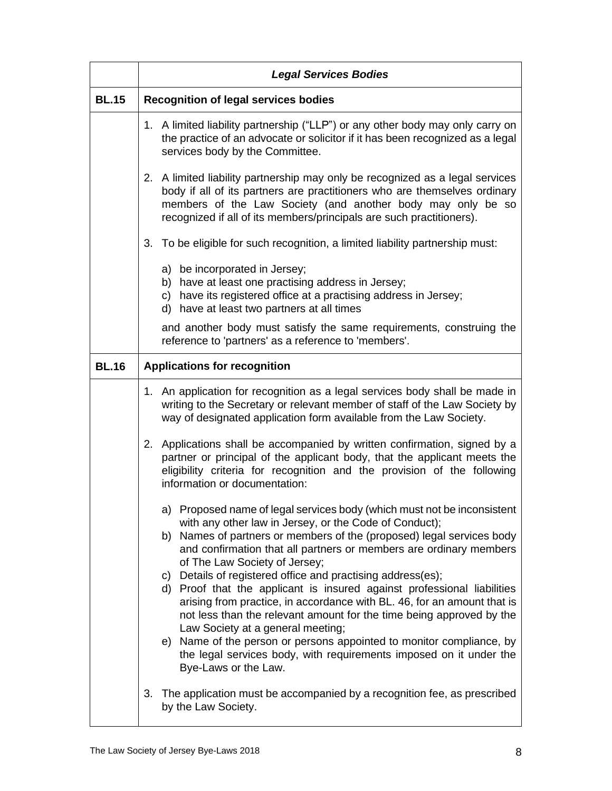|              | <b>Legal Services Bodies</b>                                                                                                                                                                                                                                                                                                                                                                                                                                                                                                                                                                                                                                                                                                                                                                                                 |
|--------------|------------------------------------------------------------------------------------------------------------------------------------------------------------------------------------------------------------------------------------------------------------------------------------------------------------------------------------------------------------------------------------------------------------------------------------------------------------------------------------------------------------------------------------------------------------------------------------------------------------------------------------------------------------------------------------------------------------------------------------------------------------------------------------------------------------------------------|
| <b>BL.15</b> | <b>Recognition of legal services bodies</b>                                                                                                                                                                                                                                                                                                                                                                                                                                                                                                                                                                                                                                                                                                                                                                                  |
|              | 1. A limited liability partnership ("LLP") or any other body may only carry on<br>the practice of an advocate or solicitor if it has been recognized as a legal<br>services body by the Committee.                                                                                                                                                                                                                                                                                                                                                                                                                                                                                                                                                                                                                           |
|              | 2. A limited liability partnership may only be recognized as a legal services<br>body if all of its partners are practitioners who are themselves ordinary<br>members of the Law Society (and another body may only be so<br>recognized if all of its members/principals are such practitioners).                                                                                                                                                                                                                                                                                                                                                                                                                                                                                                                            |
|              | To be eligible for such recognition, a limited liability partnership must:<br>3.                                                                                                                                                                                                                                                                                                                                                                                                                                                                                                                                                                                                                                                                                                                                             |
|              | a) be incorporated in Jersey;<br>b) have at least one practising address in Jersey;<br>c) have its registered office at a practising address in Jersey;<br>d) have at least two partners at all times                                                                                                                                                                                                                                                                                                                                                                                                                                                                                                                                                                                                                        |
|              | and another body must satisfy the same requirements, construing the<br>reference to 'partners' as a reference to 'members'.                                                                                                                                                                                                                                                                                                                                                                                                                                                                                                                                                                                                                                                                                                  |
| <b>BL.16</b> | <b>Applications for recognition</b>                                                                                                                                                                                                                                                                                                                                                                                                                                                                                                                                                                                                                                                                                                                                                                                          |
|              | An application for recognition as a legal services body shall be made in<br>1.<br>writing to the Secretary or relevant member of staff of the Law Society by<br>way of designated application form available from the Law Society.                                                                                                                                                                                                                                                                                                                                                                                                                                                                                                                                                                                           |
|              | 2. Applications shall be accompanied by written confirmation, signed by a<br>partner or principal of the applicant body, that the applicant meets the<br>eligibility criteria for recognition and the provision of the following<br>information or documentation:                                                                                                                                                                                                                                                                                                                                                                                                                                                                                                                                                            |
|              | a) Proposed name of legal services body (which must not be inconsistent<br>with any other law in Jersey, or the Code of Conduct);<br>Names of partners or members of the (proposed) legal services body<br>b)<br>and confirmation that all partners or members are ordinary members<br>of The Law Society of Jersey;<br>c) Details of registered office and practising address(es);<br>d) Proof that the applicant is insured against professional liabilities<br>arising from practice, in accordance with BL. 46, for an amount that is<br>not less than the relevant amount for the time being approved by the<br>Law Society at a general meeting;<br>e) Name of the person or persons appointed to monitor compliance, by<br>the legal services body, with requirements imposed on it under the<br>Bye-Laws or the Law. |
|              | The application must be accompanied by a recognition fee, as prescribed<br>3.<br>by the Law Society.                                                                                                                                                                                                                                                                                                                                                                                                                                                                                                                                                                                                                                                                                                                         |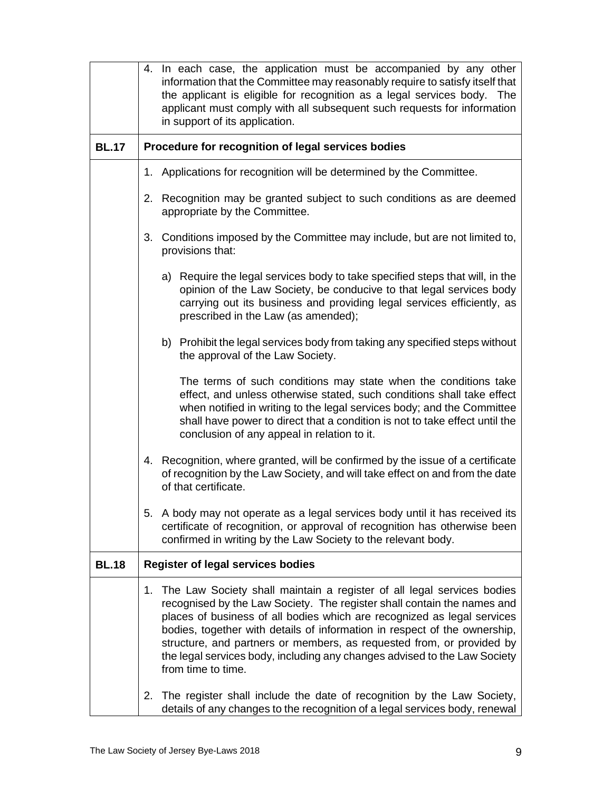|              |    | 4. In each case, the application must be accompanied by any other<br>information that the Committee may reasonably require to satisfy itself that<br>the applicant is eligible for recognition as a legal services body. The<br>applicant must comply with all subsequent such requests for information<br>in support of its application.                                                                                                                                             |
|--------------|----|---------------------------------------------------------------------------------------------------------------------------------------------------------------------------------------------------------------------------------------------------------------------------------------------------------------------------------------------------------------------------------------------------------------------------------------------------------------------------------------|
| <b>BL.17</b> |    | Procedure for recognition of legal services bodies                                                                                                                                                                                                                                                                                                                                                                                                                                    |
|              |    | 1. Applications for recognition will be determined by the Committee.                                                                                                                                                                                                                                                                                                                                                                                                                  |
|              | 2. | Recognition may be granted subject to such conditions as are deemed<br>appropriate by the Committee.                                                                                                                                                                                                                                                                                                                                                                                  |
|              | 3. | Conditions imposed by the Committee may include, but are not limited to,<br>provisions that:                                                                                                                                                                                                                                                                                                                                                                                          |
|              |    | a) Require the legal services body to take specified steps that will, in the<br>opinion of the Law Society, be conducive to that legal services body<br>carrying out its business and providing legal services efficiently, as<br>prescribed in the Law (as amended);                                                                                                                                                                                                                 |
|              |    | b) Prohibit the legal services body from taking any specified steps without<br>the approval of the Law Society.                                                                                                                                                                                                                                                                                                                                                                       |
|              |    | The terms of such conditions may state when the conditions take<br>effect, and unless otherwise stated, such conditions shall take effect<br>when notified in writing to the legal services body; and the Committee<br>shall have power to direct that a condition is not to take effect until the<br>conclusion of any appeal in relation to it.                                                                                                                                     |
|              |    | 4. Recognition, where granted, will be confirmed by the issue of a certificate<br>of recognition by the Law Society, and will take effect on and from the date<br>of that certificate.                                                                                                                                                                                                                                                                                                |
|              |    | 5. A body may not operate as a legal services body until it has received its<br>certificate of recognition, or approval of recognition has otherwise been<br>confirmed in writing by the Law Society to the relevant body.                                                                                                                                                                                                                                                            |
| <b>BL.18</b> |    | <b>Register of legal services bodies</b>                                                                                                                                                                                                                                                                                                                                                                                                                                              |
|              | 1. | The Law Society shall maintain a register of all legal services bodies<br>recognised by the Law Society. The register shall contain the names and<br>places of business of all bodies which are recognized as legal services<br>bodies, together with details of information in respect of the ownership,<br>structure, and partners or members, as requested from, or provided by<br>the legal services body, including any changes advised to the Law Society<br>from time to time. |
|              | 2. | The register shall include the date of recognition by the Law Society,<br>details of any changes to the recognition of a legal services body, renewal                                                                                                                                                                                                                                                                                                                                 |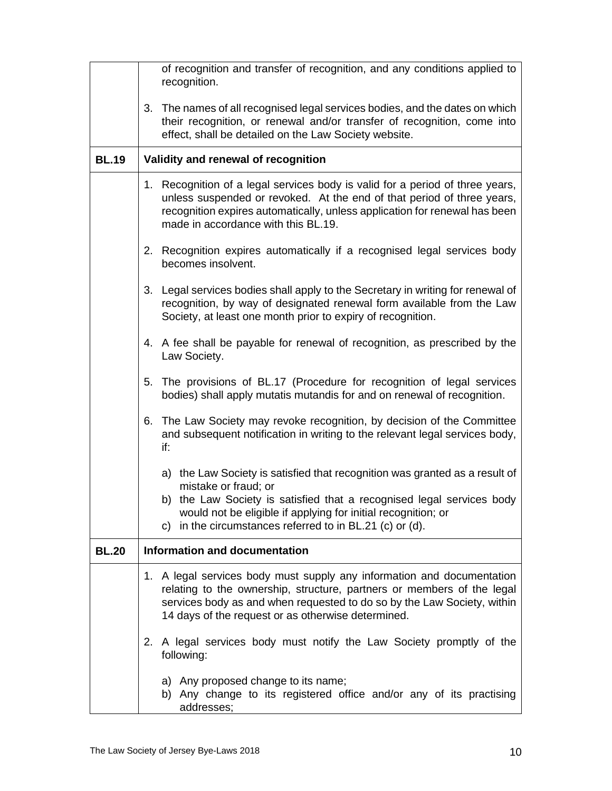|              | of recognition and transfer of recognition, and any conditions applied to<br>recognition.                                                                                                                                                                                                                 |
|--------------|-----------------------------------------------------------------------------------------------------------------------------------------------------------------------------------------------------------------------------------------------------------------------------------------------------------|
|              | 3. The names of all recognised legal services bodies, and the dates on which<br>their recognition, or renewal and/or transfer of recognition, come into<br>effect, shall be detailed on the Law Society website.                                                                                          |
| <b>BL.19</b> | Validity and renewal of recognition                                                                                                                                                                                                                                                                       |
|              | 1. Recognition of a legal services body is valid for a period of three years,<br>unless suspended or revoked. At the end of that period of three years,<br>recognition expires automatically, unless application for renewal has been<br>made in accordance with this BL.19.                              |
|              | 2. Recognition expires automatically if a recognised legal services body<br>becomes insolvent.                                                                                                                                                                                                            |
|              | 3. Legal services bodies shall apply to the Secretary in writing for renewal of<br>recognition, by way of designated renewal form available from the Law<br>Society, at least one month prior to expiry of recognition.                                                                                   |
|              | 4. A fee shall be payable for renewal of recognition, as prescribed by the<br>Law Society.                                                                                                                                                                                                                |
|              | The provisions of BL.17 (Procedure for recognition of legal services<br>5.<br>bodies) shall apply mutatis mutandis for and on renewal of recognition.                                                                                                                                                     |
|              | 6. The Law Society may revoke recognition, by decision of the Committee<br>and subsequent notification in writing to the relevant legal services body,<br>if:                                                                                                                                             |
|              | a) the Law Society is satisfied that recognition was granted as a result of<br>mistake or fraud; or<br>b) the Law Society is satisfied that a recognised legal services body<br>would not be eligible if applying for initial recognition; or<br>c) in the circumstances referred to in BL.21 (c) or (d). |
| <b>BL.20</b> | <b>Information and documentation</b>                                                                                                                                                                                                                                                                      |
|              | A legal services body must supply any information and documentation<br>1.<br>relating to the ownership, structure, partners or members of the legal<br>services body as and when requested to do so by the Law Society, within<br>14 days of the request or as otherwise determined.                      |
|              | 2. A legal services body must notify the Law Society promptly of the<br>following:                                                                                                                                                                                                                        |
|              | a) Any proposed change to its name;<br>b) Any change to its registered office and/or any of its practising<br>addresses;                                                                                                                                                                                  |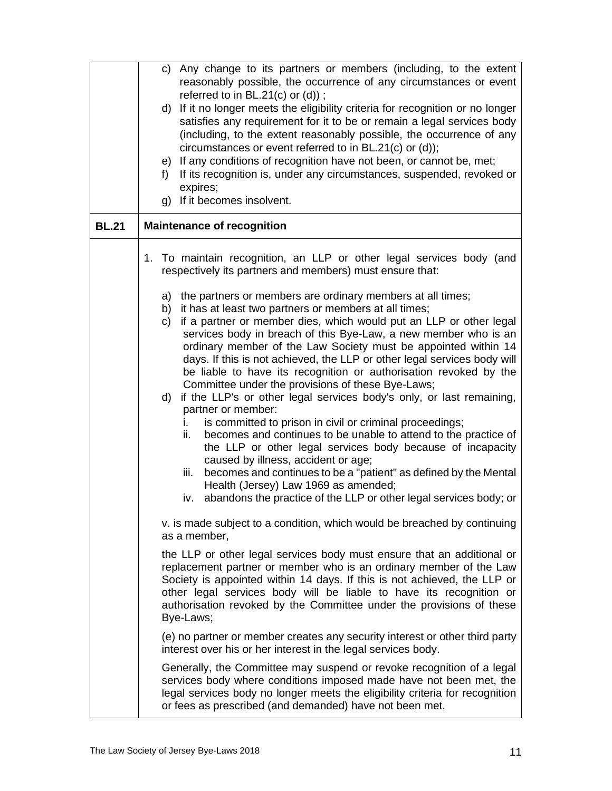|              | c) Any change to its partners or members (including, to the extent<br>reasonably possible, the occurrence of any circumstances or event                                                                                                                                                                                                                                              |
|--------------|--------------------------------------------------------------------------------------------------------------------------------------------------------------------------------------------------------------------------------------------------------------------------------------------------------------------------------------------------------------------------------------|
|              | referred to in $BL.21(c)$ or $(d)$ ;                                                                                                                                                                                                                                                                                                                                                 |
|              | If it no longer meets the eligibility criteria for recognition or no longer<br>d)<br>satisfies any requirement for it to be or remain a legal services body<br>(including, to the extent reasonably possible, the occurrence of any<br>circumstances or event referred to in BL.21(c) or (d));                                                                                       |
|              | e) If any conditions of recognition have not been, or cannot be, met;                                                                                                                                                                                                                                                                                                                |
|              | If its recognition is, under any circumstances, suspended, revoked or<br>f)<br>expires;                                                                                                                                                                                                                                                                                              |
|              | g) If it becomes insolvent.                                                                                                                                                                                                                                                                                                                                                          |
| <b>BL.21</b> | <b>Maintenance of recognition</b>                                                                                                                                                                                                                                                                                                                                                    |
|              | 1. To maintain recognition, an LLP or other legal services body (and<br>respectively its partners and members) must ensure that:                                                                                                                                                                                                                                                     |
|              | a) the partners or members are ordinary members at all times;                                                                                                                                                                                                                                                                                                                        |
|              | it has at least two partners or members at all times;<br>b)<br>if a partner or member dies, which would put an LLP or other legal<br>C)                                                                                                                                                                                                                                              |
|              | services body in breach of this Bye-Law, a new member who is an<br>ordinary member of the Law Society must be appointed within 14<br>days. If this is not achieved, the LLP or other legal services body will<br>be liable to have its recognition or authorisation revoked by the<br>Committee under the provisions of these Bye-Laws;<br>d)                                        |
|              | if the LLP's or other legal services body's only, or last remaining,<br>partner or member:                                                                                                                                                                                                                                                                                           |
|              | is committed to prison in civil or criminal proceedings;<br>İ.<br>becomes and continues to be unable to attend to the practice of<br>ii.<br>the LLP or other legal services body because of incapacity<br>caused by illness, accident or age;                                                                                                                                        |
|              | becomes and continues to be a "patient" as defined by the Mental<br>iii.<br>Health (Jersey) Law 1969 as amended;                                                                                                                                                                                                                                                                     |
|              | iv. abandons the practice of the LLP or other legal services body; or                                                                                                                                                                                                                                                                                                                |
|              | v. is made subject to a condition, which would be breached by continuing<br>as a member,                                                                                                                                                                                                                                                                                             |
|              | the LLP or other legal services body must ensure that an additional or<br>replacement partner or member who is an ordinary member of the Law<br>Society is appointed within 14 days. If this is not achieved, the LLP or<br>other legal services body will be liable to have its recognition or<br>authorisation revoked by the Committee under the provisions of these<br>Bye-Laws; |
|              | (e) no partner or member creates any security interest or other third party<br>interest over his or her interest in the legal services body.                                                                                                                                                                                                                                         |
|              | Generally, the Committee may suspend or revoke recognition of a legal<br>services body where conditions imposed made have not been met, the<br>legal services body no longer meets the eligibility criteria for recognition<br>or fees as prescribed (and demanded) have not been met.                                                                                               |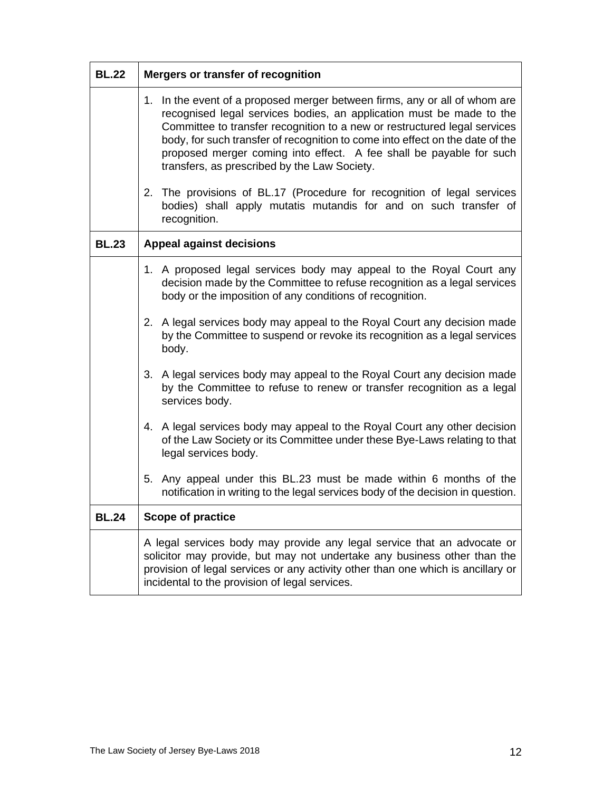| <b>BL.22</b> | Mergers or transfer of recognition                                                                                                                                                                                                                                                                                                                                                                                                      |  |
|--------------|-----------------------------------------------------------------------------------------------------------------------------------------------------------------------------------------------------------------------------------------------------------------------------------------------------------------------------------------------------------------------------------------------------------------------------------------|--|
|              | 1. In the event of a proposed merger between firms, any or all of whom are<br>recognised legal services bodies, an application must be made to the<br>Committee to transfer recognition to a new or restructured legal services<br>body, for such transfer of recognition to come into effect on the date of the<br>proposed merger coming into effect. A fee shall be payable for such<br>transfers, as prescribed by the Law Society. |  |
|              | 2. The provisions of BL.17 (Procedure for recognition of legal services<br>bodies) shall apply mutatis mutandis for and on such transfer of<br>recognition.                                                                                                                                                                                                                                                                             |  |
| <b>BL.23</b> | <b>Appeal against decisions</b>                                                                                                                                                                                                                                                                                                                                                                                                         |  |
|              | 1. A proposed legal services body may appeal to the Royal Court any<br>decision made by the Committee to refuse recognition as a legal services<br>body or the imposition of any conditions of recognition.                                                                                                                                                                                                                             |  |
|              | 2. A legal services body may appeal to the Royal Court any decision made<br>by the Committee to suspend or revoke its recognition as a legal services<br>body.                                                                                                                                                                                                                                                                          |  |
|              | 3. A legal services body may appeal to the Royal Court any decision made<br>by the Committee to refuse to renew or transfer recognition as a legal<br>services body.                                                                                                                                                                                                                                                                    |  |
|              | 4. A legal services body may appeal to the Royal Court any other decision<br>of the Law Society or its Committee under these Bye-Laws relating to that<br>legal services body.                                                                                                                                                                                                                                                          |  |
|              | 5. Any appeal under this BL.23 must be made within 6 months of the<br>notification in writing to the legal services body of the decision in question.                                                                                                                                                                                                                                                                                   |  |
| <b>BL.24</b> | <b>Scope of practice</b>                                                                                                                                                                                                                                                                                                                                                                                                                |  |
|              | A legal services body may provide any legal service that an advocate or<br>solicitor may provide, but may not undertake any business other than the<br>provision of legal services or any activity other than one which is ancillary or<br>incidental to the provision of legal services.                                                                                                                                               |  |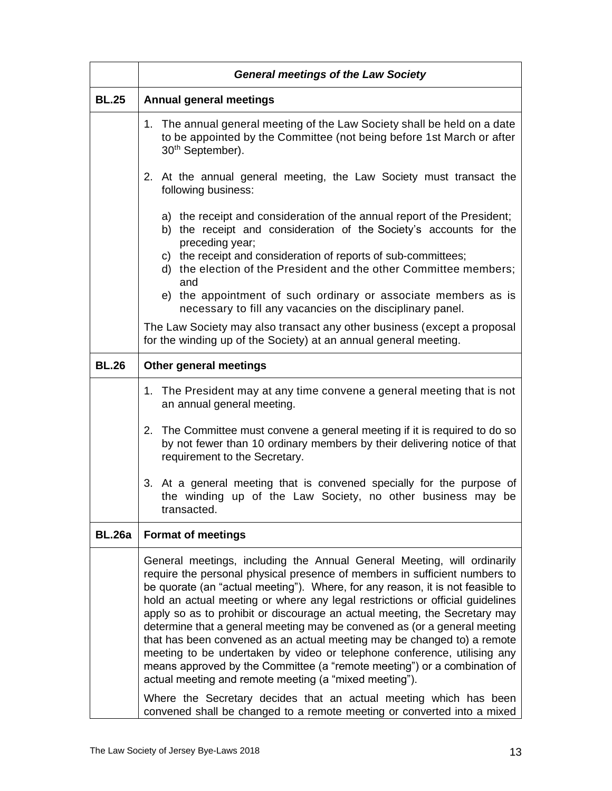|               | <b>General meetings of the Law Society</b>                                                                                                                                                                                                                                                                                                                                                                                                                                                                                                                                                                                                                                                                                                                                                                                                            |
|---------------|-------------------------------------------------------------------------------------------------------------------------------------------------------------------------------------------------------------------------------------------------------------------------------------------------------------------------------------------------------------------------------------------------------------------------------------------------------------------------------------------------------------------------------------------------------------------------------------------------------------------------------------------------------------------------------------------------------------------------------------------------------------------------------------------------------------------------------------------------------|
| <b>BL.25</b>  | <b>Annual general meetings</b>                                                                                                                                                                                                                                                                                                                                                                                                                                                                                                                                                                                                                                                                                                                                                                                                                        |
|               | 1. The annual general meeting of the Law Society shall be held on a date<br>to be appointed by the Committee (not being before 1st March or after<br>30 <sup>th</sup> September).                                                                                                                                                                                                                                                                                                                                                                                                                                                                                                                                                                                                                                                                     |
|               | 2. At the annual general meeting, the Law Society must transact the<br>following business:                                                                                                                                                                                                                                                                                                                                                                                                                                                                                                                                                                                                                                                                                                                                                            |
|               | a) the receipt and consideration of the annual report of the President;<br>b) the receipt and consideration of the Society's accounts for the<br>preceding year;<br>c) the receipt and consideration of reports of sub-committees;<br>d) the election of the President and the other Committee members;<br>and                                                                                                                                                                                                                                                                                                                                                                                                                                                                                                                                        |
|               | e) the appointment of such ordinary or associate members as is<br>necessary to fill any vacancies on the disciplinary panel.                                                                                                                                                                                                                                                                                                                                                                                                                                                                                                                                                                                                                                                                                                                          |
|               | The Law Society may also transact any other business (except a proposal<br>for the winding up of the Society) at an annual general meeting.                                                                                                                                                                                                                                                                                                                                                                                                                                                                                                                                                                                                                                                                                                           |
| <b>BL.26</b>  | Other general meetings                                                                                                                                                                                                                                                                                                                                                                                                                                                                                                                                                                                                                                                                                                                                                                                                                                |
|               | 1. The President may at any time convene a general meeting that is not<br>an annual general meeting.                                                                                                                                                                                                                                                                                                                                                                                                                                                                                                                                                                                                                                                                                                                                                  |
|               | 2. The Committee must convene a general meeting if it is required to do so<br>by not fewer than 10 ordinary members by their delivering notice of that<br>requirement to the Secretary.                                                                                                                                                                                                                                                                                                                                                                                                                                                                                                                                                                                                                                                               |
|               | 3. At a general meeting that is convened specially for the purpose of<br>the winding up of the Law Society, no other business may be<br>transacted.                                                                                                                                                                                                                                                                                                                                                                                                                                                                                                                                                                                                                                                                                                   |
| <b>BL.26a</b> | <b>Format of meetings</b>                                                                                                                                                                                                                                                                                                                                                                                                                                                                                                                                                                                                                                                                                                                                                                                                                             |
|               | General meetings, including the Annual General Meeting, will ordinarily<br>require the personal physical presence of members in sufficient numbers to<br>be quorate (an "actual meeting"). Where, for any reason, it is not feasible to<br>hold an actual meeting or where any legal restrictions or official guidelines<br>apply so as to prohibit or discourage an actual meeting, the Secretary may<br>determine that a general meeting may be convened as (or a general meeting<br>that has been convened as an actual meeting may be changed to) a remote<br>meeting to be undertaken by video or telephone conference, utilising any<br>means approved by the Committee (a "remote meeting") or a combination of<br>actual meeting and remote meeting (a "mixed meeting").<br>Where the Secretary decides that an actual meeting which has been |
|               | convened shall be changed to a remote meeting or converted into a mixed                                                                                                                                                                                                                                                                                                                                                                                                                                                                                                                                                                                                                                                                                                                                                                               |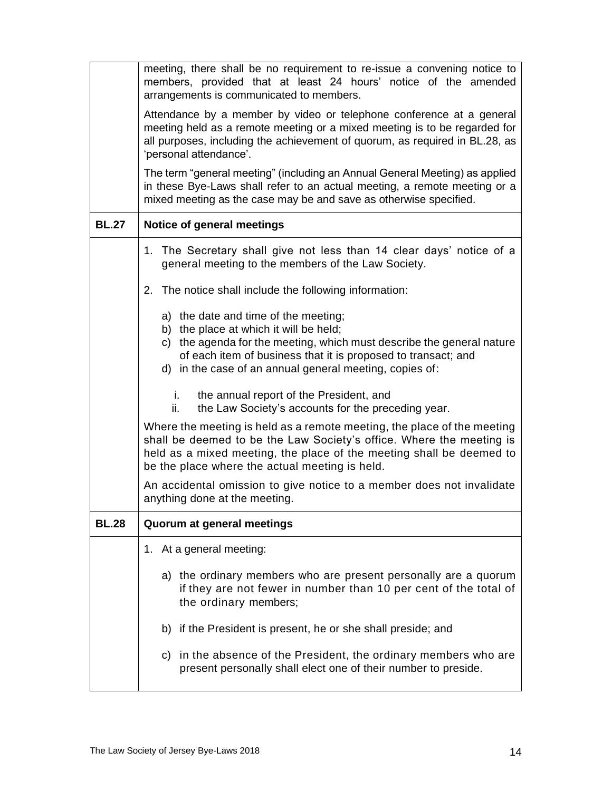|              | meeting, there shall be no requirement to re-issue a convening notice to<br>members, provided that at least 24 hours' notice of the amended<br>arrangements is communicated to members.                                                                                             |  |  |
|--------------|-------------------------------------------------------------------------------------------------------------------------------------------------------------------------------------------------------------------------------------------------------------------------------------|--|--|
|              | Attendance by a member by video or telephone conference at a general<br>meeting held as a remote meeting or a mixed meeting is to be regarded for<br>all purposes, including the achievement of quorum, as required in BL.28, as<br>'personal attendance'.                          |  |  |
|              | The term "general meeting" (including an Annual General Meeting) as applied<br>in these Bye-Laws shall refer to an actual meeting, a remote meeting or a<br>mixed meeting as the case may be and save as otherwise specified.                                                       |  |  |
| <b>BL.27</b> | Notice of general meetings                                                                                                                                                                                                                                                          |  |  |
|              | 1. The Secretary shall give not less than 14 clear days' notice of a<br>general meeting to the members of the Law Society.                                                                                                                                                          |  |  |
|              | The notice shall include the following information:<br>2.                                                                                                                                                                                                                           |  |  |
|              | a) the date and time of the meeting;<br>b) the place at which it will be held;<br>c) the agenda for the meeting, which must describe the general nature<br>of each item of business that it is proposed to transact; and<br>d) in the case of an annual general meeting, copies of: |  |  |
|              | the annual report of the President, and<br>İ.<br>the Law Society's accounts for the preceding year.<br>ii.                                                                                                                                                                          |  |  |
|              | Where the meeting is held as a remote meeting, the place of the meeting<br>shall be deemed to be the Law Society's office. Where the meeting is<br>held as a mixed meeting, the place of the meeting shall be deemed to<br>be the place where the actual meeting is held.           |  |  |
|              | An accidental omission to give notice to a member does not invalidate<br>anything done at the meeting.                                                                                                                                                                              |  |  |
| <b>BL.28</b> | Quorum at general meetings                                                                                                                                                                                                                                                          |  |  |
|              | 1. At a general meeting:                                                                                                                                                                                                                                                            |  |  |
|              | a) the ordinary members who are present personally are a quorum<br>if they are not fewer in number than 10 per cent of the total of<br>the ordinary members;                                                                                                                        |  |  |
|              | b) if the President is present, he or she shall preside; and                                                                                                                                                                                                                        |  |  |
|              | c) in the absence of the President, the ordinary members who are<br>present personally shall elect one of their number to preside.                                                                                                                                                  |  |  |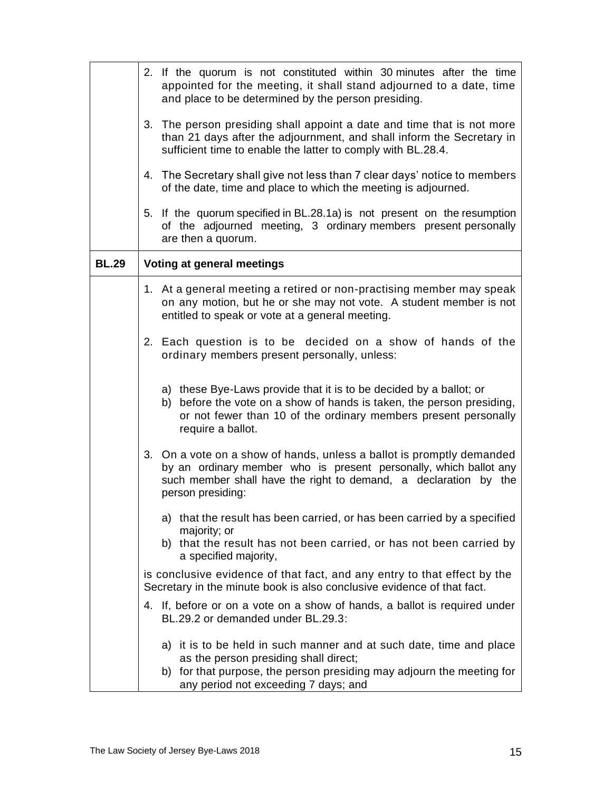|              | 2. If the quorum is not constituted within 30 minutes after the time<br>appointed for the meeting, it shall stand adjourned to a date, time<br>and place to be determined by the person presiding.                                  |
|--------------|-------------------------------------------------------------------------------------------------------------------------------------------------------------------------------------------------------------------------------------|
|              | 3. The person presiding shall appoint a date and time that is not more<br>than 21 days after the adjournment, and shall inform the Secretary in<br>sufficient time to enable the latter to comply with BL.28.4.                     |
|              | 4. The Secretary shall give not less than 7 clear days' notice to members<br>of the date, time and place to which the meeting is adjourned.                                                                                         |
|              | 5. If the quorum specified in BL.28.1a) is not present on the resumption<br>of the adjourned meeting, 3 ordinary members present personally<br>are then a quorum.                                                                   |
| <b>BL.29</b> | Voting at general meetings                                                                                                                                                                                                          |
|              | 1. At a general meeting a retired or non-practising member may speak<br>on any motion, but he or she may not vote. A student member is not<br>entitled to speak or vote at a general meeting.                                       |
|              | 2. Each question is to be decided on a show of hands of the<br>ordinary members present personally, unless:                                                                                                                         |
|              | a) these Bye-Laws provide that it is to be decided by a ballot; or<br>b) before the vote on a show of hands is taken, the person presiding,<br>or not fewer than 10 of the ordinary members present personally<br>require a ballot. |
|              | 3. On a vote on a show of hands, unless a ballot is promptly demanded<br>by an ordinary member who is present personally, which ballot any<br>such member shall have the right to demand, a declaration by the<br>person presiding: |
|              | a) that the result has been carried, or has been carried by a specified<br>majority; or<br>b) that the result has not been carried, or has not been carried by<br>a specified majority,                                             |
|              | is conclusive evidence of that fact, and any entry to that effect by the<br>Secretary in the minute book is also conclusive evidence of that fact.                                                                                  |
|              | 4. If, before or on a vote on a show of hands, a ballot is required under<br>BL.29.2 or demanded under BL.29.3:                                                                                                                     |
|              | a) it is to be held in such manner and at such date, time and place<br>as the person presiding shall direct;<br>b) for that purpose, the person presiding may adjourn the meeting for<br>any period not exceeding 7 days; and       |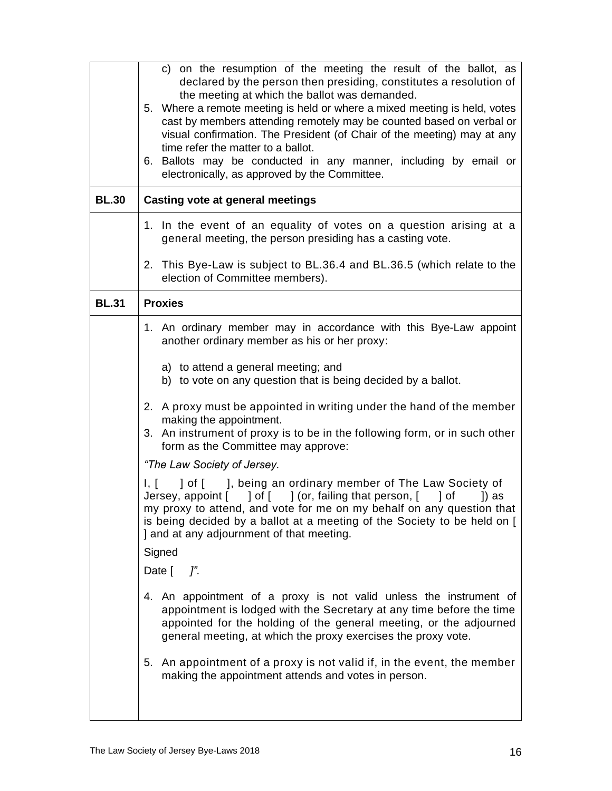| <b>BL.30</b> | c) on the resumption of the meeting the result of the ballot, as<br>declared by the person then presiding, constitutes a resolution of<br>the meeting at which the ballot was demanded.<br>5. Where a remote meeting is held or where a mixed meeting is held, votes<br>cast by members attending remotely may be counted based on verbal or<br>visual confirmation. The President (of Chair of the meeting) may at any<br>time refer the matter to a ballot.<br>6. Ballots may be conducted in any manner, including by email or<br>electronically, as approved by the Committee.<br><b>Casting vote at general meetings</b> |  |
|--------------|-------------------------------------------------------------------------------------------------------------------------------------------------------------------------------------------------------------------------------------------------------------------------------------------------------------------------------------------------------------------------------------------------------------------------------------------------------------------------------------------------------------------------------------------------------------------------------------------------------------------------------|--|
|              |                                                                                                                                                                                                                                                                                                                                                                                                                                                                                                                                                                                                                               |  |
|              | 1. In the event of an equality of votes on a question arising at a<br>general meeting, the person presiding has a casting vote.                                                                                                                                                                                                                                                                                                                                                                                                                                                                                               |  |
|              | 2. This Bye-Law is subject to BL.36.4 and BL.36.5 (which relate to the<br>election of Committee members).                                                                                                                                                                                                                                                                                                                                                                                                                                                                                                                     |  |
| <b>BL.31</b> | <b>Proxies</b>                                                                                                                                                                                                                                                                                                                                                                                                                                                                                                                                                                                                                |  |
|              | 1. An ordinary member may in accordance with this Bye-Law appoint<br>another ordinary member as his or her proxy:<br>a) to attend a general meeting; and<br>b) to vote on any question that is being decided by a ballot.                                                                                                                                                                                                                                                                                                                                                                                                     |  |
|              | 2. A proxy must be appointed in writing under the hand of the member<br>making the appointment.<br>3. An instrument of proxy is to be in the following form, or in such other<br>form as the Committee may approve:                                                                                                                                                                                                                                                                                                                                                                                                           |  |
|              | "The Law Society of Jersey.                                                                                                                                                                                                                                                                                                                                                                                                                                                                                                                                                                                                   |  |
|              | ] of [ ], being an ordinary member of The Law Society of<br>I, I<br>Jersey, appoint [ ] of [ ] (or, failing that person, [ ] of<br>1) as<br>my proxy to attend, and vote for me on my behalf on any question that<br>is being decided by a ballot at a meeting of the Society to be held on [<br>] and at any adjournment of that meeting.                                                                                                                                                                                                                                                                                    |  |
|              | Signed                                                                                                                                                                                                                                                                                                                                                                                                                                                                                                                                                                                                                        |  |
|              | Date $\lceil$<br>$\mathcal{I}^{\prime}$ .                                                                                                                                                                                                                                                                                                                                                                                                                                                                                                                                                                                     |  |
|              | 4. An appointment of a proxy is not valid unless the instrument of<br>appointment is lodged with the Secretary at any time before the time<br>appointed for the holding of the general meeting, or the adjourned<br>general meeting, at which the proxy exercises the proxy vote.                                                                                                                                                                                                                                                                                                                                             |  |
|              | 5. An appointment of a proxy is not valid if, in the event, the member<br>making the appointment attends and votes in person.                                                                                                                                                                                                                                                                                                                                                                                                                                                                                                 |  |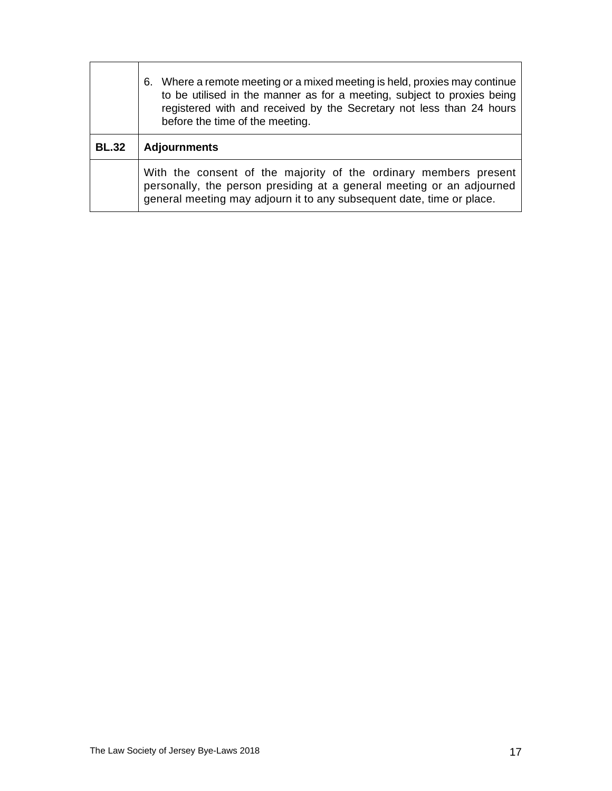|              | 6. Where a remote meeting or a mixed meeting is held, proxies may continue<br>to be utilised in the manner as for a meeting, subject to proxies being<br>registered with and received by the Secretary not less than 24 hours<br>before the time of the meeting. |  |
|--------------|------------------------------------------------------------------------------------------------------------------------------------------------------------------------------------------------------------------------------------------------------------------|--|
| <b>BL.32</b> | <b>Adjournments</b>                                                                                                                                                                                                                                              |  |
|              | With the consent of the majority of the ordinary members present<br>personally, the person presiding at a general meeting or an adjourned<br>general meeting may adjourn it to any subsequent date, time or place.                                               |  |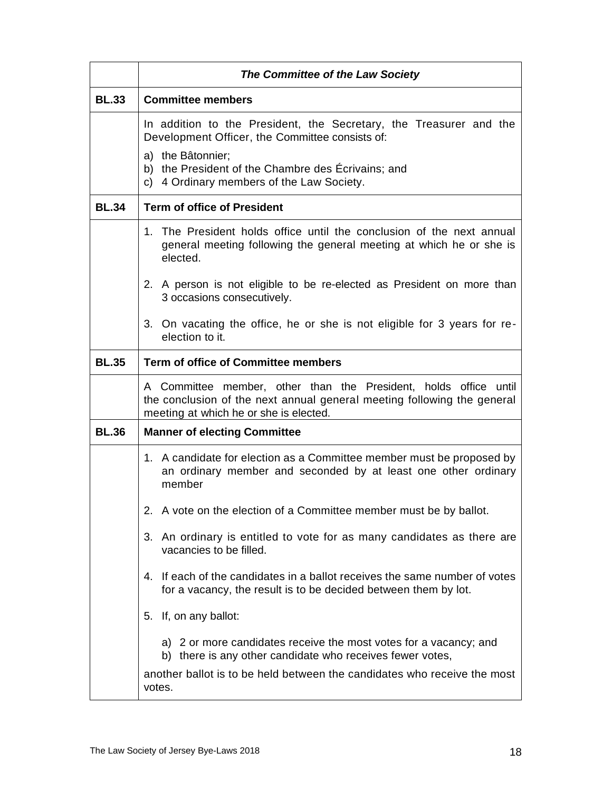|              | The Committee of the Law Society                                                                                                                                                      |  |
|--------------|---------------------------------------------------------------------------------------------------------------------------------------------------------------------------------------|--|
| <b>BL.33</b> | <b>Committee members</b>                                                                                                                                                              |  |
|              | In addition to the President, the Secretary, the Treasurer and the<br>Development Officer, the Committee consists of:                                                                 |  |
|              | a) the Bâtonnier;<br>b) the President of the Chambre des Écrivains; and<br>c) 4 Ordinary members of the Law Society.                                                                  |  |
| <b>BL.34</b> | <b>Term of office of President</b>                                                                                                                                                    |  |
|              | 1. The President holds office until the conclusion of the next annual<br>general meeting following the general meeting at which he or she is<br>elected.                              |  |
|              | 2. A person is not eligible to be re-elected as President on more than<br>3 occasions consecutively.                                                                                  |  |
|              | 3. On vacating the office, he or she is not eligible for 3 years for re-<br>election to it.                                                                                           |  |
| <b>BL.35</b> | <b>Term of office of Committee members</b>                                                                                                                                            |  |
|              | A Committee member, other than the President, holds office until<br>the conclusion of the next annual general meeting following the general<br>meeting at which he or she is elected. |  |
| <b>BL.36</b> | <b>Manner of electing Committee</b>                                                                                                                                                   |  |
|              | 1. A candidate for election as a Committee member must be proposed by<br>an ordinary member and seconded by at least one other ordinary<br>member                                     |  |
|              | 2. A vote on the election of a Committee member must be by ballot.                                                                                                                    |  |
|              | 3. An ordinary is entitled to vote for as many candidates as there are<br>vacancies to be filled.                                                                                     |  |
|              | 4. If each of the candidates in a ballot receives the same number of votes<br>for a vacancy, the result is to be decided between them by lot.                                         |  |
|              | 5. If, on any ballot:                                                                                                                                                                 |  |
|              | a) 2 or more candidates receive the most votes for a vacancy; and<br>b) there is any other candidate who receives fewer votes,                                                        |  |
|              | another ballot is to be held between the candidates who receive the most<br>votes.                                                                                                    |  |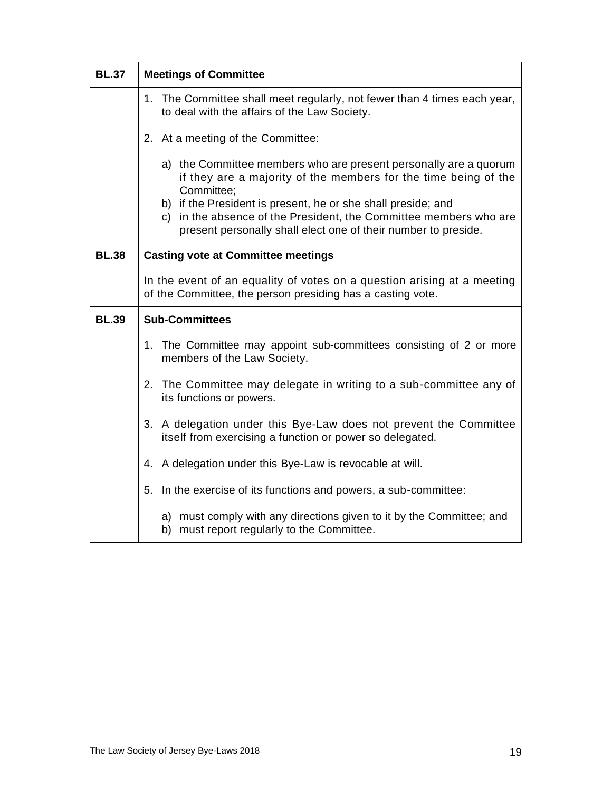| <b>BL.37</b> | <b>Meetings of Committee</b>                                                                                                                                                                        |  |
|--------------|-----------------------------------------------------------------------------------------------------------------------------------------------------------------------------------------------------|--|
|              | 1. The Committee shall meet regularly, not fewer than 4 times each year,<br>to deal with the affairs of the Law Society.                                                                            |  |
|              | 2. At a meeting of the Committee:                                                                                                                                                                   |  |
|              | a) the Committee members who are present personally are a quorum<br>if they are a majority of the members for the time being of the<br>Committee;                                                   |  |
|              | b) if the President is present, he or she shall preside; and<br>c) in the absence of the President, the Committee members who are<br>present personally shall elect one of their number to preside. |  |
| <b>BL.38</b> | <b>Casting vote at Committee meetings</b>                                                                                                                                                           |  |
|              | In the event of an equality of votes on a question arising at a meeting<br>of the Committee, the person presiding has a casting vote.                                                               |  |
| <b>BL.39</b> | <b>Sub-Committees</b>                                                                                                                                                                               |  |
|              | 1. The Committee may appoint sub-committees consisting of 2 or more<br>members of the Law Society.                                                                                                  |  |
|              | 2. The Committee may delegate in writing to a sub-committee any of<br>its functions or powers.                                                                                                      |  |
|              | 3. A delegation under this Bye-Law does not prevent the Committee<br>itself from exercising a function or power so delegated.                                                                       |  |
|              | A delegation under this Bye-Law is revocable at will.<br>4.                                                                                                                                         |  |
|              | In the exercise of its functions and powers, a sub-committee:<br>5.                                                                                                                                 |  |
|              | a) must comply with any directions given to it by the Committee; and<br>b) must report regularly to the Committee.                                                                                  |  |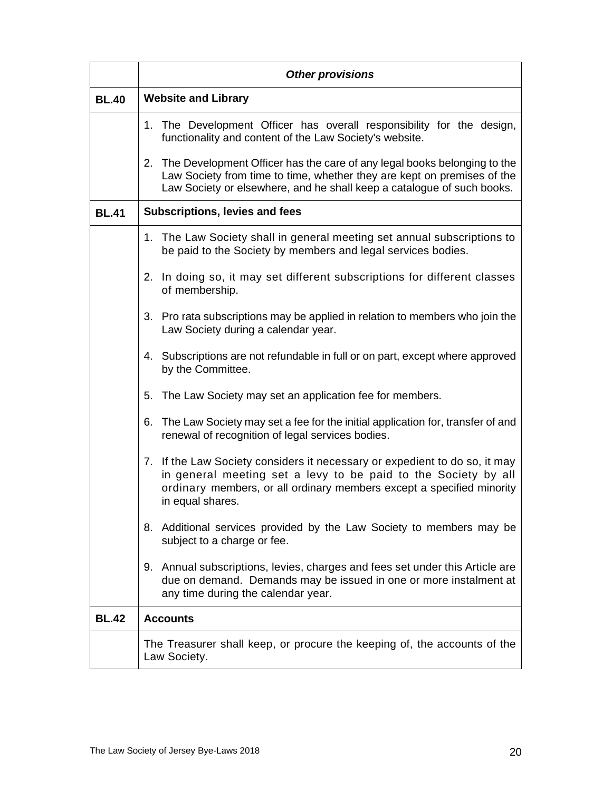|              | <b>Other provisions</b>                                                                                                                                                                                                                   |  |
|--------------|-------------------------------------------------------------------------------------------------------------------------------------------------------------------------------------------------------------------------------------------|--|
| <b>BL.40</b> | <b>Website and Library</b>                                                                                                                                                                                                                |  |
|              | 1. The Development Officer has overall responsibility for the design,<br>functionality and content of the Law Society's website.                                                                                                          |  |
|              | 2. The Development Officer has the care of any legal books belonging to the<br>Law Society from time to time, whether they are kept on premises of the<br>Law Society or elsewhere, and he shall keep a catalogue of such books.          |  |
| <b>BL.41</b> | <b>Subscriptions, levies and fees</b>                                                                                                                                                                                                     |  |
|              | 1. The Law Society shall in general meeting set annual subscriptions to<br>be paid to the Society by members and legal services bodies.                                                                                                   |  |
|              | 2. In doing so, it may set different subscriptions for different classes<br>of membership.                                                                                                                                                |  |
|              | 3. Pro rata subscriptions may be applied in relation to members who join the<br>Law Society during a calendar year.                                                                                                                       |  |
|              | 4. Subscriptions are not refundable in full or on part, except where approved<br>by the Committee.                                                                                                                                        |  |
|              | 5.<br>The Law Society may set an application fee for members.                                                                                                                                                                             |  |
|              | 6. The Law Society may set a fee for the initial application for, transfer of and<br>renewal of recognition of legal services bodies.                                                                                                     |  |
|              | 7. If the Law Society considers it necessary or expedient to do so, it may<br>in general meeting set a levy to be paid to the Society by all<br>ordinary members, or all ordinary members except a specified minority<br>in equal shares. |  |
|              | Additional services provided by the Law Society to members may be<br>8.<br>subject to a charge or fee.                                                                                                                                    |  |
|              | 9. Annual subscriptions, levies, charges and fees set under this Article are<br>due on demand. Demands may be issued in one or more instalment at<br>any time during the calendar year.                                                   |  |
| <b>BL.42</b> | <b>Accounts</b>                                                                                                                                                                                                                           |  |
|              | The Treasurer shall keep, or procure the keeping of, the accounts of the<br>Law Society.                                                                                                                                                  |  |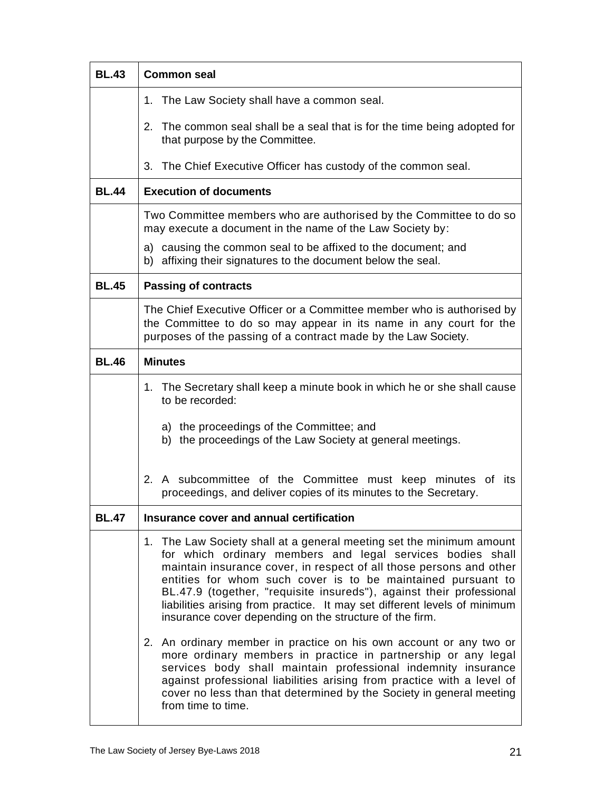| <b>BL.43</b> | <b>Common seal</b>                                                                                                                                                                                                                                                                                                                                                                                                                                                                                                                                              |  |
|--------------|-----------------------------------------------------------------------------------------------------------------------------------------------------------------------------------------------------------------------------------------------------------------------------------------------------------------------------------------------------------------------------------------------------------------------------------------------------------------------------------------------------------------------------------------------------------------|--|
|              | 1. The Law Society shall have a common seal.                                                                                                                                                                                                                                                                                                                                                                                                                                                                                                                    |  |
|              | 2.<br>The common seal shall be a seal that is for the time being adopted for<br>that purpose by the Committee.                                                                                                                                                                                                                                                                                                                                                                                                                                                  |  |
|              | 3. The Chief Executive Officer has custody of the common seal.                                                                                                                                                                                                                                                                                                                                                                                                                                                                                                  |  |
| <b>BL.44</b> | <b>Execution of documents</b>                                                                                                                                                                                                                                                                                                                                                                                                                                                                                                                                   |  |
|              | Two Committee members who are authorised by the Committee to do so<br>may execute a document in the name of the Law Society by:                                                                                                                                                                                                                                                                                                                                                                                                                                 |  |
|              | a) causing the common seal to be affixed to the document; and<br>b) affixing their signatures to the document below the seal.                                                                                                                                                                                                                                                                                                                                                                                                                                   |  |
| <b>BL.45</b> | <b>Passing of contracts</b>                                                                                                                                                                                                                                                                                                                                                                                                                                                                                                                                     |  |
|              | The Chief Executive Officer or a Committee member who is authorised by<br>the Committee to do so may appear in its name in any court for the<br>purposes of the passing of a contract made by the Law Society.                                                                                                                                                                                                                                                                                                                                                  |  |
| <b>BL.46</b> | <b>Minutes</b>                                                                                                                                                                                                                                                                                                                                                                                                                                                                                                                                                  |  |
|              | 1. The Secretary shall keep a minute book in which he or she shall cause<br>to be recorded:                                                                                                                                                                                                                                                                                                                                                                                                                                                                     |  |
|              | a) the proceedings of the Committee; and<br>b) the proceedings of the Law Society at general meetings.                                                                                                                                                                                                                                                                                                                                                                                                                                                          |  |
|              | 2. A subcommittee of the Committee must keep minutes of its<br>proceedings, and deliver copies of its minutes to the Secretary.                                                                                                                                                                                                                                                                                                                                                                                                                                 |  |
| <b>BL.47</b> | Insurance cover and annual certification                                                                                                                                                                                                                                                                                                                                                                                                                                                                                                                        |  |
|              | 1. The Law Society shall at a general meeting set the minimum amount<br>for which ordinary members and legal services bodies shall<br>maintain insurance cover, in respect of all those persons and other<br>entities for whom such cover is to be maintained pursuant to<br>BL.47.9 (together, "requisite insureds"), against their professional<br>liabilities arising from practice. It may set different levels of minimum<br>insurance cover depending on the structure of the firm.<br>2. An ordinary member in practice on his own account or any two or |  |
|              | more ordinary members in practice in partnership or any legal<br>services body shall maintain professional indemnity insurance<br>against professional liabilities arising from practice with a level of<br>cover no less than that determined by the Society in general meeting<br>from time to time.                                                                                                                                                                                                                                                          |  |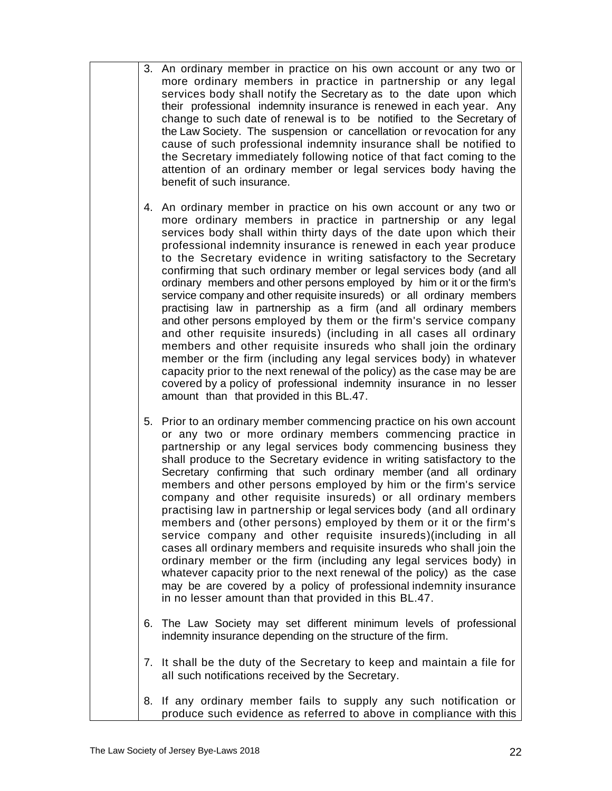- 3. An ordinary member in practice on his own account or any two or more ordinary members in practice in partnership or any legal services body shall notify the Secretary as to the date upon which their professional indemnity insurance is renewed in each year. Any change to such date of renewal is to be notified to the Secretary of the Law Society. The suspension or cancellation or revocation for any cause of such professional indemnity insurance shall be notified to the Secretary immediately following notice of that fact coming to the attention of an ordinary member or legal services body having the benefit of such insurance.
- 4. An ordinary member in practice on his own account or any two or more ordinary members in practice in partnership or any legal services body shall within thirty days of the date upon which their professional indemnity insurance is renewed in each year produce to the Secretary evidence in writing satisfactory to the Secretary confirming that such ordinary member or legal services body (and all ordinary members and other persons employed by him or it or the firm's service company and other requisite insureds) or all ordinary members practising law in partnership as a firm (and all ordinary members and other persons employed by them or the firm's service company and other requisite insureds) (including in all cases all ordinary members and other requisite insureds who shall join the ordinary member or the firm (including any legal services body) in whatever capacity prior to the next renewal of the policy) as the case may be are covered by a policy of professional indemnity insurance in no lesser amount than that provided in this BL.47.
- 5. Prior to an ordinary member commencing practice on his own account or any two or more ordinary members commencing practice in partnership or any legal services body commencing business they shall produce to the Secretary evidence in writing satisfactory to the Secretary confirming that such ordinary member (and all ordinary members and other persons employed by him or the firm's service company and other requisite insureds) or all ordinary members practising law in partnership or legal services body (and all ordinary members and (other persons) employed by them or it or the firm's service company and other requisite insureds)(including in all cases all ordinary members and requisite insureds who shall join the ordinary member or the firm (including any legal services body) in whatever capacity prior to the next renewal of the policy) as the case may be are covered by a policy of professional indemnity insurance in no lesser amount than that provided in this BL.47.
- 6. The Law Society may set different minimum levels of professional indemnity insurance depending on the structure of the firm.
- 7. It shall be the duty of the Secretary to keep and maintain a file for all such notifications received by the Secretary.
- 8. If any ordinary member fails to supply any such notification or produce such evidence as referred to above in compliance with this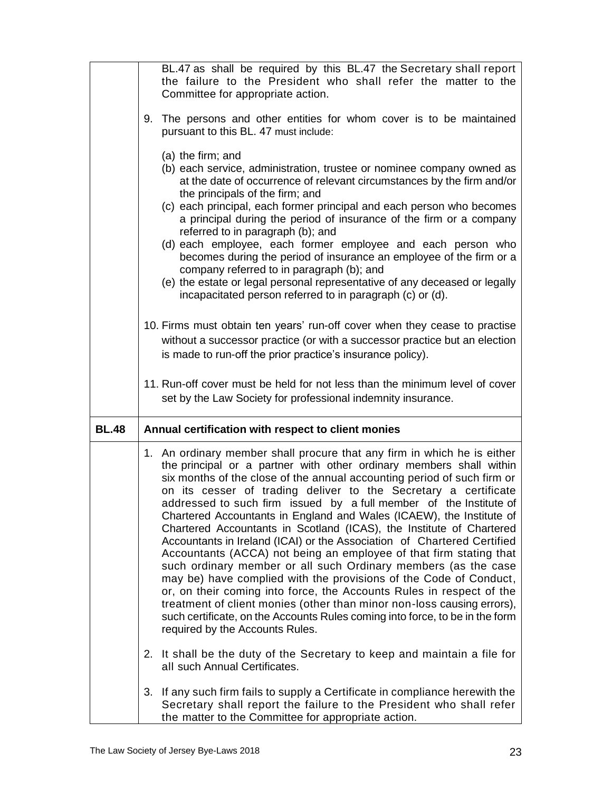|              | Committee for appropriate action.                                                                                                      | BL.47 as shall be required by this BL.47 the Secretary shall report<br>the failure to the President who shall refer the matter to the                                                                                                                                                                                                                                                                                                                                                                                                                                                                                                                                                                                                                                                                                                                                                                                                                                                                                                        |
|--------------|----------------------------------------------------------------------------------------------------------------------------------------|----------------------------------------------------------------------------------------------------------------------------------------------------------------------------------------------------------------------------------------------------------------------------------------------------------------------------------------------------------------------------------------------------------------------------------------------------------------------------------------------------------------------------------------------------------------------------------------------------------------------------------------------------------------------------------------------------------------------------------------------------------------------------------------------------------------------------------------------------------------------------------------------------------------------------------------------------------------------------------------------------------------------------------------------|
|              | pursuant to this BL. 47 must include:                                                                                                  | 9. The persons and other entities for whom cover is to be maintained                                                                                                                                                                                                                                                                                                                                                                                                                                                                                                                                                                                                                                                                                                                                                                                                                                                                                                                                                                         |
|              | (a) the firm; and<br>the principals of the firm; and<br>referred to in paragraph (b); and<br>company referred to in paragraph (b); and | (b) each service, administration, trustee or nominee company owned as<br>at the date of occurrence of relevant circumstances by the firm and/or<br>(c) each principal, each former principal and each person who becomes<br>a principal during the period of insurance of the firm or a company<br>(d) each employee, each former employee and each person who<br>becomes during the period of insurance an employee of the firm or a<br>(e) the estate or legal personal representative of any deceased or legally<br>incapacitated person referred to in paragraph (c) or (d).<br>10. Firms must obtain ten years' run-off cover when they cease to practise                                                                                                                                                                                                                                                                                                                                                                               |
|              | is made to run-off the prior practice's insurance policy).                                                                             | without a successor practice (or with a successor practice but an election                                                                                                                                                                                                                                                                                                                                                                                                                                                                                                                                                                                                                                                                                                                                                                                                                                                                                                                                                                   |
|              |                                                                                                                                        | 11. Run-off cover must be held for not less than the minimum level of cover<br>set by the Law Society for professional indemnity insurance.                                                                                                                                                                                                                                                                                                                                                                                                                                                                                                                                                                                                                                                                                                                                                                                                                                                                                                  |
| <b>BL.48</b> | Annual certification with respect to client monies                                                                                     |                                                                                                                                                                                                                                                                                                                                                                                                                                                                                                                                                                                                                                                                                                                                                                                                                                                                                                                                                                                                                                              |
|              | required by the Accounts Rules.                                                                                                        | 1. An ordinary member shall procure that any firm in which he is either<br>the principal or a partner with other ordinary members shall within<br>six months of the close of the annual accounting period of such firm or<br>on its cesser of trading deliver to the Secretary a certificate<br>addressed to such firm issued by a full member of the Institute of<br>Chartered Accountants in England and Wales (ICAEW), the Institute of<br>Chartered Accountants in Scotland (ICAS), the Institute of Chartered<br>Accountants in Ireland (ICAI) or the Association of Chartered Certified<br>Accountants (ACCA) not being an employee of that firm stating that<br>such ordinary member or all such Ordinary members (as the case<br>may be) have complied with the provisions of the Code of Conduct,<br>or, on their coming into force, the Accounts Rules in respect of the<br>treatment of client monies (other than minor non-loss causing errors),<br>such certificate, on the Accounts Rules coming into force, to be in the form |
|              | all such Annual Certificates.                                                                                                          | 2. It shall be the duty of the Secretary to keep and maintain a file for                                                                                                                                                                                                                                                                                                                                                                                                                                                                                                                                                                                                                                                                                                                                                                                                                                                                                                                                                                     |
|              | 3.<br>the matter to the Committee for appropriate action.                                                                              | If any such firm fails to supply a Certificate in compliance herewith the<br>Secretary shall report the failure to the President who shall refer                                                                                                                                                                                                                                                                                                                                                                                                                                                                                                                                                                                                                                                                                                                                                                                                                                                                                             |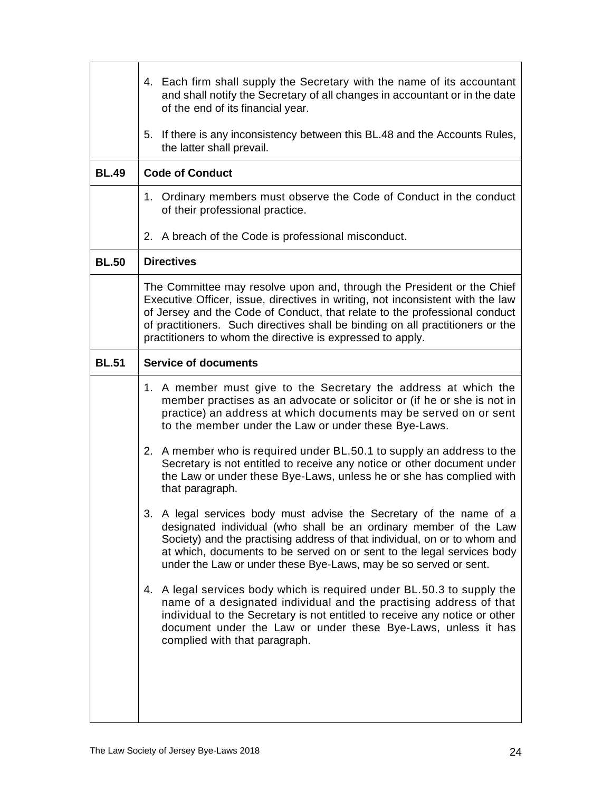|              | 4. Each firm shall supply the Secretary with the name of its accountant<br>and shall notify the Secretary of all changes in accountant or in the date<br>of the end of its financial year.                                                                                                                                                                                             |  |
|--------------|----------------------------------------------------------------------------------------------------------------------------------------------------------------------------------------------------------------------------------------------------------------------------------------------------------------------------------------------------------------------------------------|--|
|              | 5.<br>If there is any inconsistency between this BL.48 and the Accounts Rules,<br>the latter shall prevail.                                                                                                                                                                                                                                                                            |  |
| <b>BL.49</b> | <b>Code of Conduct</b>                                                                                                                                                                                                                                                                                                                                                                 |  |
|              | 1. Ordinary members must observe the Code of Conduct in the conduct<br>of their professional practice.                                                                                                                                                                                                                                                                                 |  |
|              | 2. A breach of the Code is professional misconduct.                                                                                                                                                                                                                                                                                                                                    |  |
| <b>BL.50</b> | <b>Directives</b>                                                                                                                                                                                                                                                                                                                                                                      |  |
|              | The Committee may resolve upon and, through the President or the Chief<br>Executive Officer, issue, directives in writing, not inconsistent with the law<br>of Jersey and the Code of Conduct, that relate to the professional conduct<br>of practitioners. Such directives shall be binding on all practitioners or the<br>practitioners to whom the directive is expressed to apply. |  |
| <b>BL.51</b> | <b>Service of documents</b>                                                                                                                                                                                                                                                                                                                                                            |  |
|              | 1. A member must give to the Secretary the address at which the<br>member practises as an advocate or solicitor or (if he or she is not in<br>practice) an address at which documents may be served on or sent<br>to the member under the Law or under these Bye-Laws.                                                                                                                 |  |
|              | 2. A member who is required under BL.50.1 to supply an address to the<br>Secretary is not entitled to receive any notice or other document under<br>the Law or under these Bye-Laws, unless he or she has complied with<br>that paragraph.                                                                                                                                             |  |
|              | A legal services body must advise the Secretary of the name of a<br>3.<br>designated individual (who shall be an ordinary member of the Law<br>Society) and the practising address of that individual, on or to whom and<br>at which, documents to be served on or sent to the legal services body<br>under the Law or under these Bye-Laws, may be so served or sent.                 |  |
|              | 4. A legal services body which is required under BL.50.3 to supply the<br>name of a designated individual and the practising address of that<br>individual to the Secretary is not entitled to receive any notice or other<br>document under the Law or under these Bye-Laws, unless it has<br>complied with that paragraph.                                                           |  |
|              |                                                                                                                                                                                                                                                                                                                                                                                        |  |